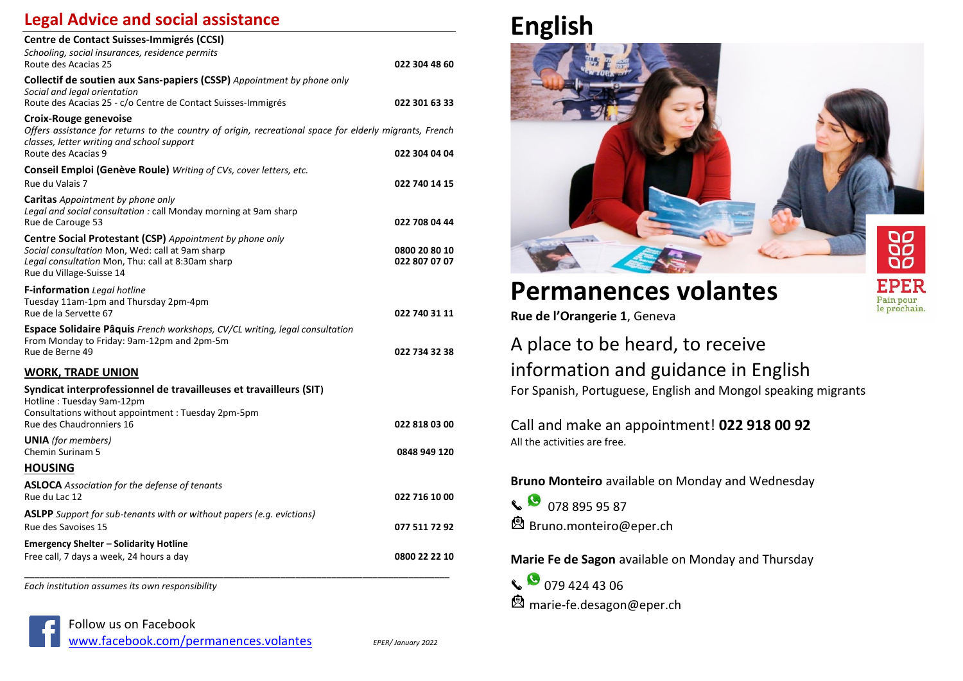#### **Legal Advice and social assistance**

| Centre de Contact Suisses-Immigrés (CCSI)                                                                                                                                                             |               |
|-------------------------------------------------------------------------------------------------------------------------------------------------------------------------------------------------------|---------------|
| Schooling, social insurances, residence permits                                                                                                                                                       |               |
| Route des Acacias 25                                                                                                                                                                                  | 022 304 48 60 |
| <b>Collectif de soutien aux Sans-papiers (CSSP)</b> Appointment by phone only<br>Social and legal orientation<br>Route des Acacias 25 - c/o Centre de Contact Suisses-Immigrés                        | 022 301 63 33 |
|                                                                                                                                                                                                       |               |
| Croix-Rouge genevoise<br>Offers assistance for returns to the country of origin, recreational space for elderly migrants, French<br>classes, letter writing and school support<br>Route des Acacias 9 | 022 304 04 04 |
|                                                                                                                                                                                                       |               |
| Conseil Emploi (Genève Roule) Writing of CVs, cover letters, etc.                                                                                                                                     |               |
| Rue du Valais 7                                                                                                                                                                                       | 022 740 14 15 |
| <b>Caritas</b> Appointment by phone only                                                                                                                                                              |               |
| Legal and social consultation : call Monday morning at 9am sharp<br>Rue de Carouge 53                                                                                                                 | 022 708 04 44 |
| Centre Social Protestant (CSP) Appointment by phone only                                                                                                                                              |               |
| Social consultation Mon, Wed: call at 9am sharp                                                                                                                                                       | 0800 20 80 10 |
| Legal consultation Mon, Thu: call at 8:30am sharp                                                                                                                                                     | 022 807 07 07 |
| Rue du Village-Suisse 14                                                                                                                                                                              |               |
| F-information Legal hotline                                                                                                                                                                           |               |
| Tuesday 11am-1pm and Thursday 2pm-4pm                                                                                                                                                                 |               |
| Rue de la Servette 67                                                                                                                                                                                 | 022 740 31 11 |
| Espace Solidaire Pâquis French workshops, CV/CL writing, legal consultation                                                                                                                           |               |
| From Monday to Friday: 9am-12pm and 2pm-5m<br>Rue de Berne 49                                                                                                                                         | 022 734 32 38 |
|                                                                                                                                                                                                       |               |
| <b>WORK, TRADE UNION</b>                                                                                                                                                                              |               |
| Syndicat interprofessionnel de travailleuses et travailleurs (SIT)<br>Hotline: Tuesday 9am-12pm                                                                                                       |               |
| Consultations without appointment: Tuesday 2pm-5pm                                                                                                                                                    |               |
| Rue des Chaudronniers 16                                                                                                                                                                              | 022 818 03 00 |
| <b>UNIA</b> (for members)                                                                                                                                                                             |               |
| Chemin Surinam 5                                                                                                                                                                                      | 0848 949 120  |
| <b>HOUSING</b>                                                                                                                                                                                        |               |
| <b>ASLOCA</b> Association for the defense of tenants                                                                                                                                                  |               |
| Rue du Lac 12                                                                                                                                                                                         | 022 716 10 00 |
| <b>ASLPP</b> Support for sub-tenants with or without papers (e.g. evictions)                                                                                                                          |               |
| Rue des Savoises 15                                                                                                                                                                                   | 077 511 72 92 |
| Emergency Shelter – Solidarity Hotline                                                                                                                                                                |               |
| Free call, 7 days a week, 24 hours a day                                                                                                                                                              | 0800 22 22 10 |
|                                                                                                                                                                                                       |               |

*Each institution assumes its own responsibility*







FPEF Pain pour le prochain

# **Permanences volantes**

**Rue de l'Orangerie 1**, Geneva

### A place to be heard, to receive information and guidance in English For Spanish, Portuguese, English and Mongol speaking migrants

Call and make an appointment! **022 918 00 92** All the activities are free.

**Bruno Monteiro** available on Monday and Wednesday

 $\begin{array}{|c|c|c|c|}\n\hline\n\end{array}$  078 895 95 87 **A** Bruno.monteiro@eper.ch

**Marie Fe de Sagon** available on Monday and Thursday

 $\begin{array}{|c|c|c|}\n\hline\n\end{array}$  079 424 43 06 **2** marie-fe.desagon@eper.ch